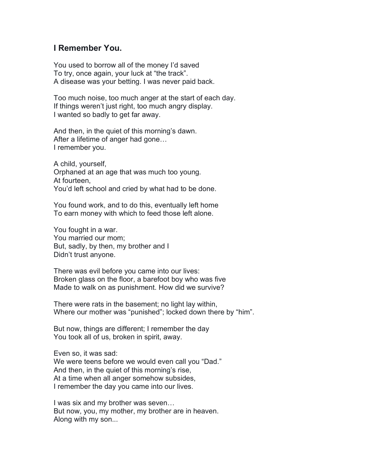## **I Remember You.**

You used to borrow all of the money I'd saved To try, once again, your luck at "the track". A disease was your betting. I was never paid back.

Too much noise, too much anger at the start of each day. If things weren't just right, too much angry display. I wanted so badly to get far away.

And then, in the quiet of this morning's dawn. After a lifetime of anger had gone… I remember you.

A child, yourself, Orphaned at an age that was much too young. At fourteen, You'd left school and cried by what had to be done.

You found work, and to do this, eventually left home To earn money with which to feed those left alone.

You fought in a war. You married our mom; But, sadly, by then, my brother and I Didn't trust anyone.

There was evil before you came into our lives: Broken glass on the floor, a barefoot boy who was five Made to walk on as punishment. How did we survive?

There were rats in the basement; no light lay within, Where our mother was "punished"; locked down there by "him".

But now, things are different; I remember the day You took all of us, broken in spirit, away.

Even so, it was sad: We were teens before we would even call you "Dad." And then, in the quiet of this morning's rise, At a time when all anger somehow subsides, I remember the day you came into our lives.

I was six and my brother was seven… But now, you, my mother, my brother are in heaven. Along with my son...